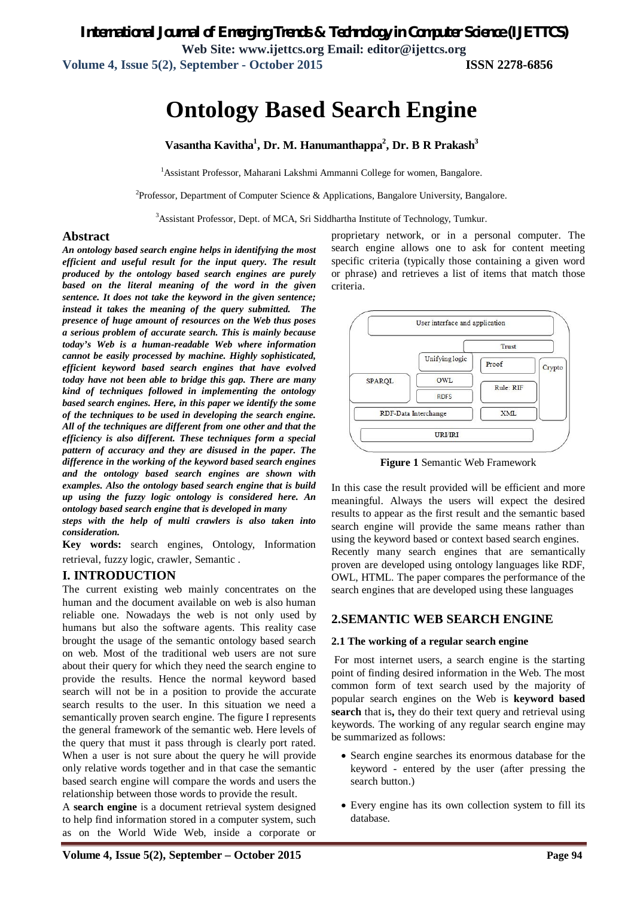*International Journal of Emerging Trends & Technology in Computer Science (IJETTCS)*

**Web Site: www.ijettcs.org Email: editor@ijettcs.org** 

**Volume 4, Issue 5(2), September - October 2015 ISSN 2278-6856**

# **Ontology Based Search Engine**

**Vasantha Kavitha<sup>1</sup> , Dr. M. Hanumanthappa<sup>2</sup> , Dr. B R Prakash<sup>3</sup>**

<sup>1</sup> Assistant Professor, Maharani Lakshmi Ammanni College for women, Bangalore.

<sup>2</sup>Professor, Department of Computer Science & Applications, Bangalore University, Bangalore.

<sup>3</sup>Assistant Professor, Dept. of MCA, Sri Siddhartha Institute of Technology, Tumkur.

#### **Abstract**

*An ontology based search engine helps in identifying the most efficient and useful result for the input query. The result produced by the ontology based search engines are purely based on the literal meaning of the word in the given sentence. It does not take the keyword in the given sentence; instead it takes the meaning of the query submitted. The presence of huge amount of resources on the Web thus poses a serious problem of accurate search. This is mainly because today's Web is a human-readable Web where information cannot be easily processed by machine. Highly sophisticated, efficient keyword based search engines that have evolved today have not been able to bridge this gap. There are many kind of techniques followed in implementing the ontology based search engines. Here, in this paper we identify the some of the techniques to be used in developing the search engine. All of the techniques are different from one other and that the efficiency is also different. These techniques form a special pattern of accuracy and they are disused in the paper. The difference in the working of the keyword based search engines and the ontology based search engines are shown with examples. Also the ontology based search engine that is build up using the fuzzy logic ontology is considered here. An ontology based search engine that is developed in many steps with the help of multi crawlers is also taken into* 

*consideration.* 

**Key words:** search engines, Ontology, Information retrieval, fuzzy logic, crawler, Semantic .

#### **I. INTRODUCTION**

The current existing web mainly concentrates on the human and the document available on web is also human reliable one. Nowadays the web is not only used by humans but also the software agents. This reality case brought the usage of the semantic ontology based search on web. Most of the traditional web users are not sure about their query for which they need the search engine to provide the results. Hence the normal keyword based search will not be in a position to provide the accurate search results to the user. In this situation we need a semantically proven search engine. The figure I represents the general framework of the semantic web. Here levels of the query that must it pass through is clearly port rated. When a user is not sure about the query he will provide only relative words together and in that case the semantic based search engine will compare the words and users the relationship between those words to provide the result.

A **search engine** is a document retrieval system designed to help find information stored in a computer system, such as on the World Wide Web, inside a corporate or

proprietary network, or in a personal computer. The search engine allows one to ask for content meeting specific criteria (typically those containing a given word or phrase) and retrieves a list of items that match those criteria.



**Figure 1** Semantic Web Framework

In this case the result provided will be efficient and more meaningful. Always the users will expect the desired results to appear as the first result and the semantic based search engine will provide the same means rather than using the keyword based or context based search engines. Recently many search engines that are semantically proven are developed using ontology languages like RDF, OWL, HTML. The paper compares the performance of the search engines that are developed using these languages

#### **2.SEMANTIC WEB SEARCH ENGINE**

#### **2.1 The working of a regular search engine**

For most internet users, a search engine is the starting point of finding desired information in the Web. The most common form of text search used by the majority of popular search engines on the Web is **keyword based search** that is**,** they do their text query and retrieval using keywords. The working of any regular search engine may be summarized as follows:

- Search engine searches its enormous database for the keyword - entered by the user (after pressing the search button.)
- Every engine has its own collection system to fill its database.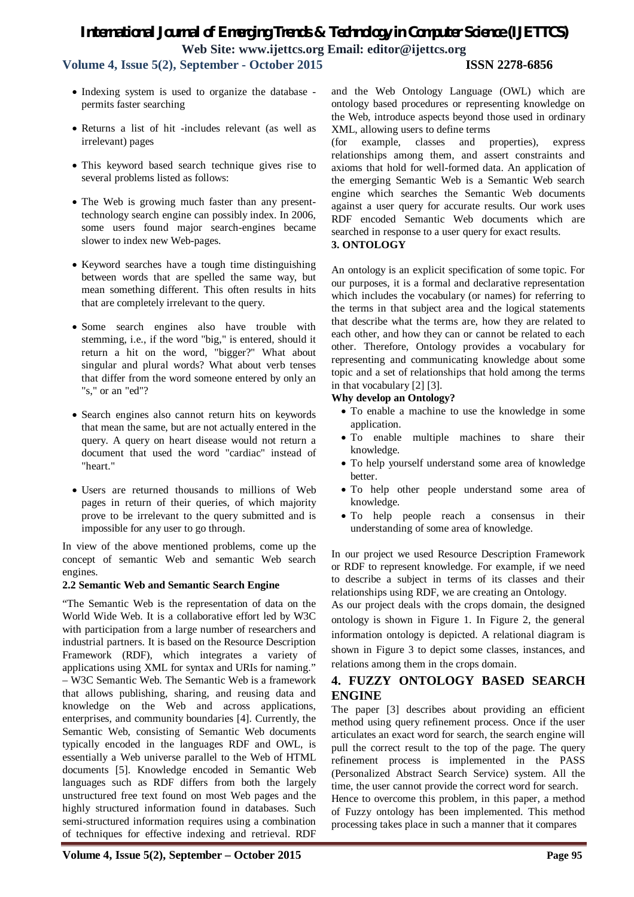# *International Journal of Emerging Trends & Technology in Computer Science (IJETTCS)* **Web Site: www.ijettcs.org Email: editor@ijettcs.org**

**Volume 4, Issue 5(2), September - October 2015 ISSN 2278-6856**

- Indexing system is used to organize the database permits faster searching
- Returns a list of hit -includes relevant (as well as irrelevant) pages
- This keyword based search technique gives rise to several problems listed as follows:
- The Web is growing much faster than any presenttechnology search engine can possibly index. In 2006, some users found major search-engines became slower to index new Web-pages.
- Keyword searches have a tough time distinguishing between words that are spelled the same way, but mean something different. This often results in hits that are completely irrelevant to the query.
- Some search engines also have trouble with stemming, i.e., if the word "big," is entered, should it return a hit on the word, "bigger?" What about singular and plural words? What about verb tenses that differ from the word someone entered by only an "s," or an "ed"?
- Search engines also cannot return hits on keywords that mean the same, but are not actually entered in the query. A query on heart disease would not return a document that used the word "cardiac" instead of "heart."
- Users are returned thousands to millions of Web pages in return of their queries, of which majority prove to be irrelevant to the query submitted and is impossible for any user to go through.

In view of the above mentioned problems, come up the concept of semantic Web and semantic Web search engines.

#### **2.2 Semantic Web and Semantic Search Engine**

"The Semantic Web is the representation of data on the World Wide Web. It is a collaborative effort led by W3C with participation from a large number of researchers and industrial partners. It is based on the Resource Description Framework (RDF), which integrates a variety of applications using XML for syntax and URIs for naming." – W3C Semantic Web. The Semantic Web is a framework that allows publishing, sharing, and reusing data and knowledge on the Web and across applications, enterprises, and community boundaries [4]. Currently, the Semantic Web, consisting of Semantic Web documents typically encoded in the languages RDF and OWL, is essentially a Web universe parallel to the Web of HTML documents [5]. Knowledge encoded in Semantic Web languages such as RDF differs from both the largely unstructured free text found on most Web pages and the highly structured information found in databases. Such semi-structured information requires using a combination of techniques for effective indexing and retrieval. RDF

and the Web Ontology Language (OWL) which are ontology based procedures or representing knowledge on the Web, introduce aspects beyond those used in ordinary XML, allowing users to define terms

(for example, classes and properties), express relationships among them, and assert constraints and axioms that hold for well-formed data. An application of the emerging Semantic Web is a Semantic Web search engine which searches the Semantic Web documents against a user query for accurate results. Our work uses RDF encoded Semantic Web documents which are searched in response to a user query for exact results.

### **3. ONTOLOGY**

An ontology is an explicit specification of some topic. For our purposes, it is a formal and declarative representation which includes the vocabulary (or names) for referring to the terms in that subject area and the logical statements that describe what the terms are, how they are related to each other, and how they can or cannot be related to each other. Therefore, Ontology provides a vocabulary for representing and communicating knowledge about some topic and a set of relationships that hold among the terms in that vocabulary [2] [3].

#### **Why develop an Ontology?**

- To enable a machine to use the knowledge in some application.
- To enable multiple machines to share their knowledge.
- To help yourself understand some area of knowledge better.
- To help other people understand some area of knowledge.
- To help people reach a consensus in their understanding of some area of knowledge.

In our project we used Resource Description Framework or RDF to represent knowledge. For example, if we need to describe a subject in terms of its classes and their relationships using RDF, we are creating an Ontology.

As our project deals with the crops domain, the designed ontology is shown in Figure 1. In Figure 2, the general information ontology is depicted. A relational diagram is shown in Figure 3 to depict some classes, instances, and relations among them in the crops domain.

## **4. FUZZY ONTOLOGY BASED SEARCH ENGINE**

The paper [3] describes about providing an efficient method using query refinement process. Once if the user articulates an exact word for search, the search engine will pull the correct result to the top of the page. The query refinement process is implemented in the PASS (Personalized Abstract Search Service) system. All the time, the user cannot provide the correct word for search.

Hence to overcome this problem, in this paper, a method of Fuzzy ontology has been implemented. This method processing takes place in such a manner that it compares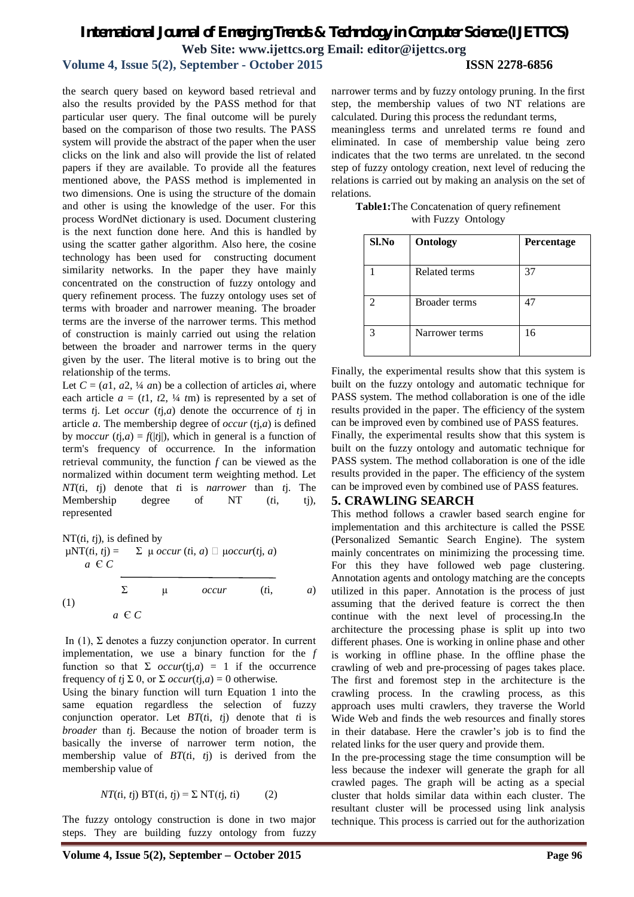# *International Journal of Emerging Trends & Technology in Computer Science (IJETTCS)* **Web Site: www.ijettcs.org Email: editor@ijettcs.org**

# **Volume 4, Issue 5(2), September - October 2015 ISSN 2278-6856**

the search query based on keyword based retrieval and also the results provided by the PASS method for that particular user query. The final outcome will be purely based on the comparison of those two results. The PASS system will provide the abstract of the paper when the user clicks on the link and also will provide the list of related papers if they are available. To provide all the features mentioned above, the PASS method is implemented in two dimensions. One is using the structure of the domain and other is using the knowledge of the user. For this process WordNet dictionary is used. Document clustering is the next function done here. And this is handled by using the scatter gather algorithm. Also here, the cosine technology has been used for constructing document similarity networks. In the paper they have mainly concentrated on the construction of fuzzy ontology and query refinement process. The fuzzy ontology uses set of terms with broader and narrower meaning. The broader terms are the inverse of the narrower terms. This method of construction is mainly carried out using the relation between the broader and narrower terms in the query given by the user. The literal motive is to bring out the relationship of the terms.

Let  $C = (a_1, a_2, \frac{1}{4} a_n)$  be a collection of articles *a*i, where each article  $a = (t1, t2, \frac{1}{4}tm)$  is represented by a set of terms *t*j. Let *occur* (*t*j,*a*) denote the occurrence of *t*j in article *a*. The membership degree of *occur* (*t*j,*a*) is defined by moccur  $(tj,a) = f(|tj|)$ , which in general is a function of term's frequency of occurrence. In the information retrieval community, the function *f* can be viewed as the normalized within document term weighting method. Let *NT*(*t*i, *t*j) denote that *t*i is *narrower* than *t*j. The Membership degree of NT (*t*i, tj), represented

NT(*i*, *t*), is defined by  
\n
$$
\mu NT(\vec{n}, t\vec{j}) = \sum \mu \text{ occur } (\vec{n}, a) \Box \mu \text{ occur } (\vec{n}, a)
$$
\n
$$
a \in C
$$
\n
$$
\sum \mu \text{ occur } (\vec{n}, a)
$$
\n(1)\n
$$
a \in C
$$

In (1), Σ denotes a fuzzy conjunction operator. In current implementation, we use a binary function for the *f*  function so that  $\Sigma$  *occur*(tj,*a*) = 1 if the occurrence frequency of *t*j  $\Sigma$  0, or  $\Sigma$  *occur(tj,a)* = 0 otherwise.

Using the binary function will turn Equation 1 into the same equation regardless the selection of fuzzy conjunction operator. Let *BT*(*t*i, *t*j) denote that *t*i is *broader* than *t*j. Because the notion of broader term is basically the inverse of narrower term notion, the membership value of *BT*(*t*i, *t*j) is derived from the membership value of

$$
NT(ti, tj) BT(ti, tj) = \sum NT(tj, ti)
$$
 (2)

The fuzzy ontology construction is done in two major steps. They are building fuzzy ontology from fuzzy

narrower terms and by fuzzy ontology pruning. In the first step, the membership values of two NT relations are calculated. During this process the redundant terms,

meaningless terms and unrelated terms re found and eliminated. In case of membership value being zero indicates that the two terms are unrelated. tn the second step of fuzzy ontology creation, next level of reducing the relations is carried out by making an analysis on the set of relations.

**Table1:**The Concatenation of query refinement with Fuzzy Ontology

| Sl.No | <b>Ontology</b> | Percentage |
|-------|-----------------|------------|
|       | Related terms   | 37         |
|       | Broader terms   | 47         |
|       | Narrower terms  | 16         |

Finally, the experimental results show that this system is built on the fuzzy ontology and automatic technique for PASS system. The method collaboration is one of the idle results provided in the paper. The efficiency of the system can be improved even by combined use of PASS features.

Finally, the experimental results show that this system is built on the fuzzy ontology and automatic technique for PASS system. The method collaboration is one of the idle results provided in the paper. The efficiency of the system can be improved even by combined use of PASS features.

#### **5. CRAWLING SEARCH**

This method follows a crawler based search engine for implementation and this architecture is called the PSSE (Personalized Semantic Search Engine). The system mainly concentrates on minimizing the processing time. For this they have followed web page clustering. Annotation agents and ontology matching are the concepts utilized in this paper. Annotation is the process of just assuming that the derived feature is correct the then continue with the next level of processing.In the architecture the processing phase is split up into two different phases. One is working in online phase and other is working in offline phase. In the offline phase the crawling of web and pre-processing of pages takes place. The first and foremost step in the architecture is the crawling process. In the crawling process, as this approach uses multi crawlers, they traverse the World Wide Web and finds the web resources and finally stores in their database. Here the crawler's job is to find the related links for the user query and provide them.

In the pre-processing stage the time consumption will be less because the indexer will generate the graph for all crawled pages. The graph will be acting as a special cluster that holds similar data within each cluster. The resultant cluster will be processed using link analysis technique. This process is carried out for the authorization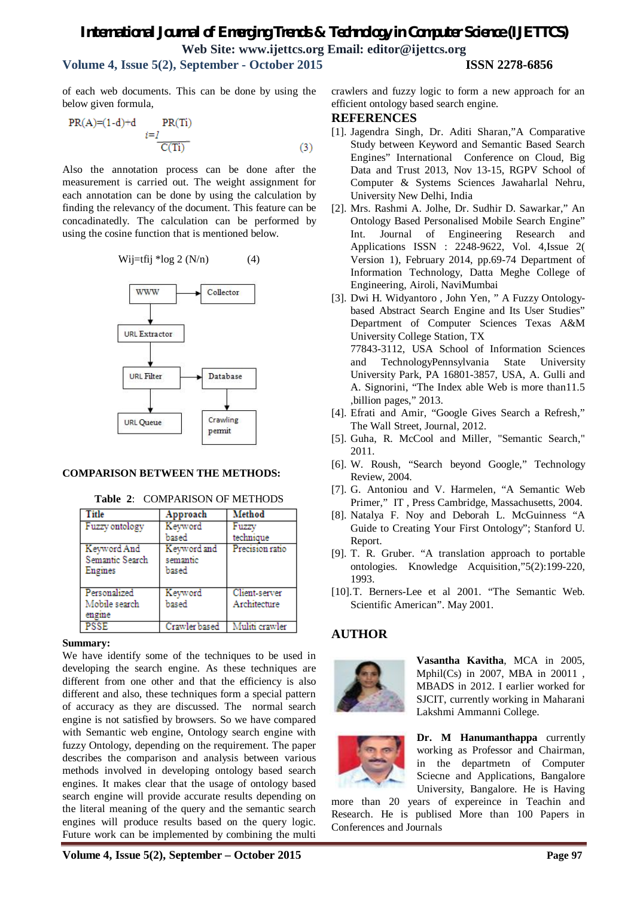# *International Journal of Emerging Trends & Technology in Computer Science (IJETTCS)* **Web Site: www.ijettcs.org Email: editor@ijettcs.org**

# **Volume 4, Issue 5(2), September - October 2015 ISSN 2278-6856**

of each web documents. This can be done by using the below given formula,

$$
PR(A)=(1-d)+d \t\t PR(Ti)
$$
  

$$
i=1
$$
  

$$
\overline{C(Ti)}
$$
 (3)

Also the annotation process can be done after the measurement is carried out. The weight assignment for each annotation can be done by using the calculation by finding the relevancy of the document. This feature can be concadinatedly. The calculation can be performed by using the cosine function that is mentioned below.

$$
Wij=tfij * log 2 (N/n) \qquad (4)
$$



#### **COMPARISON BETWEEN THE METHODS:**

| Title                                     | Approach                         | Method                        |
|-------------------------------------------|----------------------------------|-------------------------------|
| Fuzzy ontology                            | Keyword<br>based                 | Fuzzy<br>technique            |
| Keyword And<br>Semantic Search<br>Engines | Keyword and<br>semantic<br>based | Precision ratio               |
| Personalized<br>Mobile search<br>engme    | Keyword<br>based                 | Client-server<br>Architecture |
| <b>PSSE</b>                               | Crawler based                    | Muliti crawler                |

#### **Table 2**: COMPARISON OF METHODS

#### **Summary:**

We have identify some of the techniques to be used in developing the search engine. As these techniques are different from one other and that the efficiency is also different and also, these techniques form a special pattern of accuracy as they are discussed. The normal search engine is not satisfied by browsers. So we have compared with Semantic web engine, Ontology search engine with fuzzy Ontology, depending on the requirement. The paper describes the comparison and analysis between various methods involved in developing ontology based search engines. It makes clear that the usage of ontology based search engine will provide accurate results depending on the literal meaning of the query and the semantic search engines will produce results based on the query logic. Future work can be implemented by combining the multi

crawlers and fuzzy logic to form a new approach for an efficient ontology based search engine.

#### **REFERENCES**

- [1]. Jagendra Singh, Dr. Aditi Sharan,"A Comparative Study between Keyword and Semantic Based Search Engines" International Conference on Cloud, Big Data and Trust 2013, Nov 13-15, RGPV School of Computer & Systems Sciences Jawaharlal Nehru, University New Delhi, India
- [2]. Mrs. Rashmi A. Jolhe, Dr. Sudhir D. Sawarkar," An Ontology Based Personalised Mobile Search Engine" Int. Journal of Engineering Research and Applications ISSN : 2248-9622, Vol. 4,Issue 2( Version 1), February 2014, pp.69-74 Department of Information Technology, Datta Meghe College of Engineering, Airoli, NaviMumbai
- [3]. Dwi H. Widyantoro , John Yen, " A Fuzzy Ontologybased Abstract Search Engine and Its User Studies" Department of Computer Sciences Texas A&M University College Station, TX 77843-3112, USA School of Information Sciences and TechnologyPennsylvania State University University Park, PA 16801-3857, USA, A. Gulli and A. Signorini, "The Index able Web is more than11.5 ,billion pages," 2013.
- [4]. Efrati and Amir, "Google Gives Search a Refresh," The Wall Street, Journal, 2012.
- [5]. Guha, R. McCool and Miller, "Semantic Search," 2011.
- [6]. W. Roush, "Search beyond Google," Technology Review, 2004.
- [7]. G. Antoniou and V. Harmelen, "A Semantic Web Primer," IT , Press Cambridge, Massachusetts, 2004.
- [8]. Natalya F. Noy and Deborah L. McGuinness "A Guide to Creating Your First Ontology"; Stanford U. Report.
- [9]. T. R. Gruber. "A translation approach to portable ontologies. Knowledge Acquisition,"5(2):199-220, 1993.
- [10].T. Berners-Lee et al 2001. "The Semantic Web. Scientific American". May 2001.

## **AUTHOR**



**Vasantha Kavitha**, MCA in 2005, Mphil(Cs) in 2007, MBA in 20011 , MBADS in 2012. I earlier worked for SJCIT, currently working in Maharani Lakshmi Ammanni College.



**Dr. M Hanumanthappa** currently working as Professor and Chairman, in the departmetn of Computer Sciecne and Applications, Bangalore University, Bangalore. He is Having

more than 20 years of expereince in Teachin and Research. He is publised More than 100 Papers in Conferences and Journals